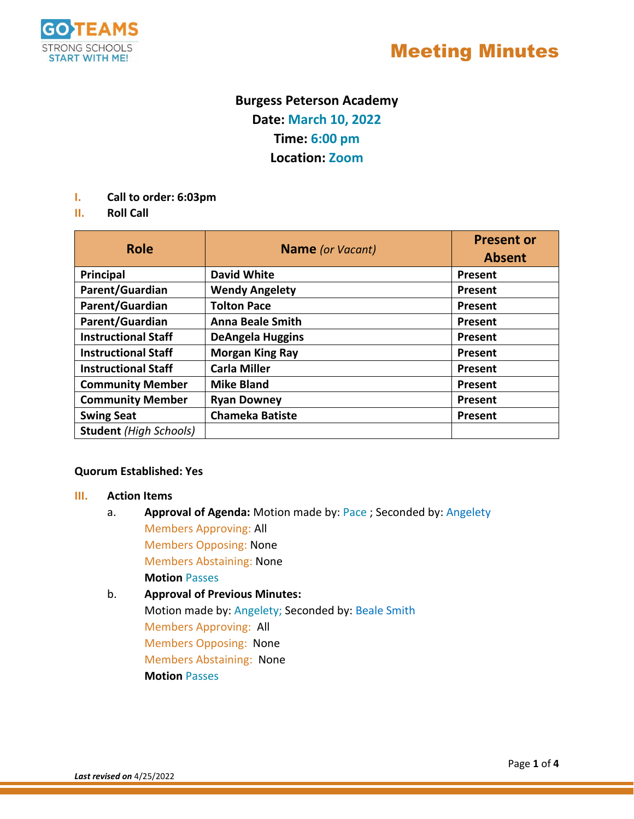

## Meeting Minutes

### **Burgess Peterson Academy Date: March 10, 2022 Time: 6:00 pm Location: Zoom**

- **I. Call to order: 6:03pm**
- **II. Roll Call**

| <b>Role</b>                   | <b>Name</b> (or Vacant) | <b>Present or</b><br><b>Absent</b> |
|-------------------------------|-------------------------|------------------------------------|
| Principal                     | <b>David White</b>      | Present                            |
| Parent/Guardian               | <b>Wendy Angelety</b>   | Present                            |
| Parent/Guardian               | <b>Tolton Pace</b>      | Present                            |
| Parent/Guardian               | <b>Anna Beale Smith</b> | Present                            |
| <b>Instructional Staff</b>    | <b>DeAngela Huggins</b> | Present                            |
| <b>Instructional Staff</b>    | <b>Morgan King Ray</b>  | Present                            |
| <b>Instructional Staff</b>    | <b>Carla Miller</b>     | Present                            |
| <b>Community Member</b>       | <b>Mike Bland</b>       | Present                            |
| <b>Community Member</b>       | <b>Ryan Downey</b>      | Present                            |
| <b>Swing Seat</b>             | <b>Chameka Batiste</b>  | Present                            |
| <b>Student</b> (High Schools) |                         |                                    |

#### **Quorum Established: Yes**

#### **III. Action Items**

a. **Approval of Agenda:** Motion made by: Pace ; Seconded by: Angelety Members Approving: All Members Opposing: None Members Abstaining: None

**Motion** Passes b. **Approval of Previous Minutes:** Motion made by: Angelety; Seconded by: Beale Smith Members Approving: All Members Opposing: None Members Abstaining: None **Motion** Passes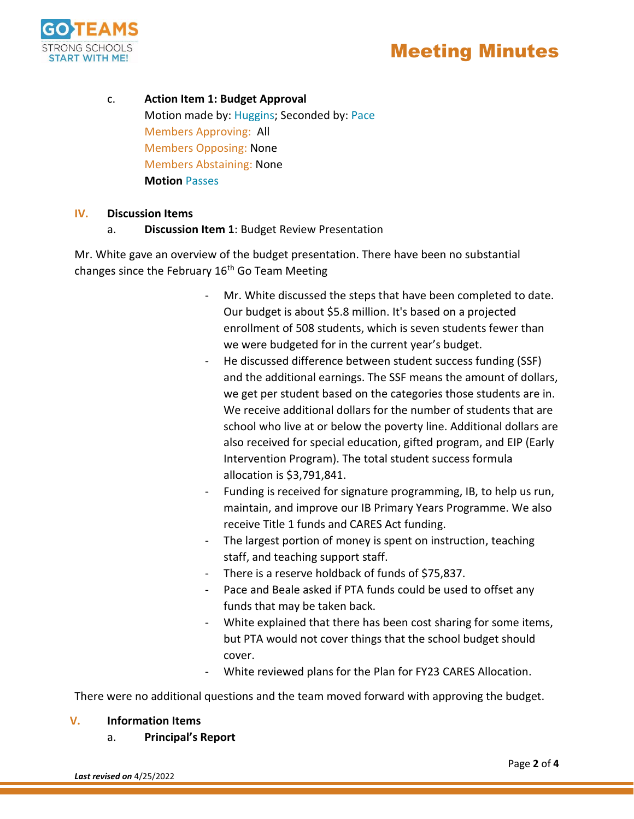

c. **Action Item 1: Budget Approval** Motion made by: Huggins; Seconded by: Pace Members Approving: All Members Opposing: None Members Abstaining: None **Motion** Passes

#### **IV. Discussion Items**

#### a. **Discussion Item 1**: Budget Review Presentation

Mr. White gave an overview of the budget presentation. There have been no substantial changes since the February  $16<sup>th</sup>$  Go Team Meeting

- Mr. White discussed the steps that have been completed to date. Our budget is about \$5.8 million. It's based on a projected enrollment of 508 students, which is seven students fewer than we were budgeted for in the current year's budget.
- He discussed difference between student success funding (SSF) and the additional earnings. The SSF means the amount of dollars, we get per student based on the categories those students are in. We receive additional dollars for the number of students that are school who live at or below the poverty line. Additional dollars are also received for special education, gifted program, and EIP (Early Intervention Program). The total student success formula allocation is \$3,791,841.
- Funding is received for signature programming, IB, to help us run, maintain, and improve our IB Primary Years Programme. We also receive Title 1 funds and CARES Act funding.
- The largest portion of money is spent on instruction, teaching staff, and teaching support staff.
- There is a reserve holdback of funds of \$75,837.
- Pace and Beale asked if PTA funds could be used to offset any funds that may be taken back.
- White explained that there has been cost sharing for some items, but PTA would not cover things that the school budget should cover.
- White reviewed plans for the Plan for FY23 CARES Allocation.

There were no additional questions and the team moved forward with approving the budget.

#### **V. Information Items**

a. **Principal's Report**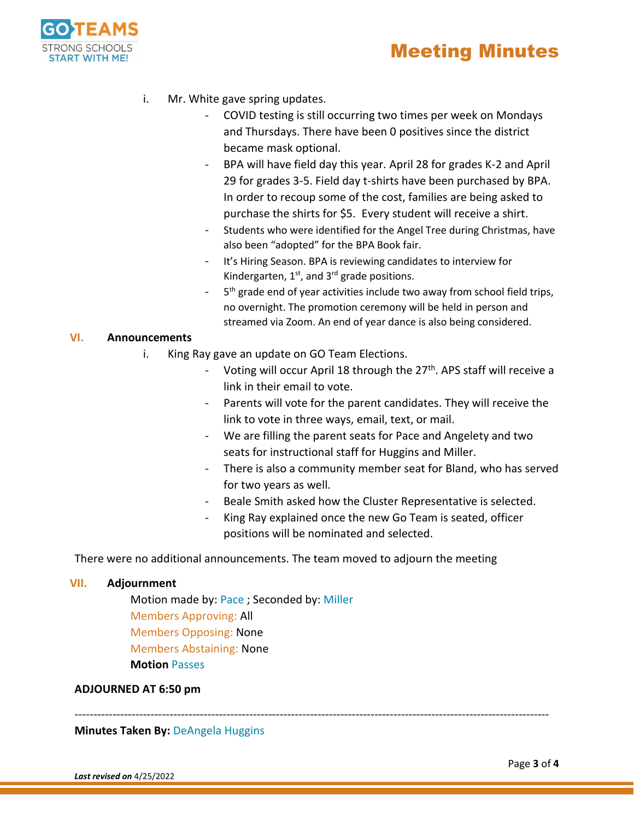



- i. Mr. White gave spring updates.
	- COVID testing is still occurring two times per week on Mondays and Thursdays. There have been 0 positives since the district became mask optional.
	- BPA will have field day this year. April 28 for grades K-2 and April 29 for grades 3-5. Field day t-shirts have been purchased by BPA. In order to recoup some of the cost, families are being asked to purchase the shirts for \$5. Every student will receive a shirt.
	- Students who were identified for the Angel Tree during Christmas, have also been "adopted" for the BPA Book fair.
	- It's Hiring Season. BPA is reviewing candidates to interview for Kindergarten,  $1<sup>st</sup>$ , and  $3<sup>rd</sup>$  grade positions.
	- 5<sup>th</sup> grade end of year activities include two away from school field trips, no overnight. The promotion ceremony will be held in person and streamed via Zoom. An end of year dance is also being considered.

#### **VI. Announcements**

- i. King Ray gave an update on GO Team Elections.
	- Voting will occur April 18 through the 27<sup>th</sup>. APS staff will receive a link in their email to vote.
	- Parents will vote for the parent candidates. They will receive the link to vote in three ways, email, text, or mail.
	- We are filling the parent seats for Pace and Angelety and two seats for instructional staff for Huggins and Miller.
	- There is also a community member seat for Bland, who has served for two years as well.
	- Beale Smith asked how the Cluster Representative is selected.
	- King Ray explained once the new Go Team is seated, officer positions will be nominated and selected.

There were no additional announcements. The team moved to adjourn the meeting

#### **VII. Adjournment**

Motion made by: Pace ; Seconded by: Miller Members Approving: All Members Opposing: None Members Abstaining: None **Motion** Passes

#### **ADJOURNED AT 6:50 pm**

-----------------------------------------------------------------------------------------------------------------------------

**Minutes Taken By:** DeAngela Huggins